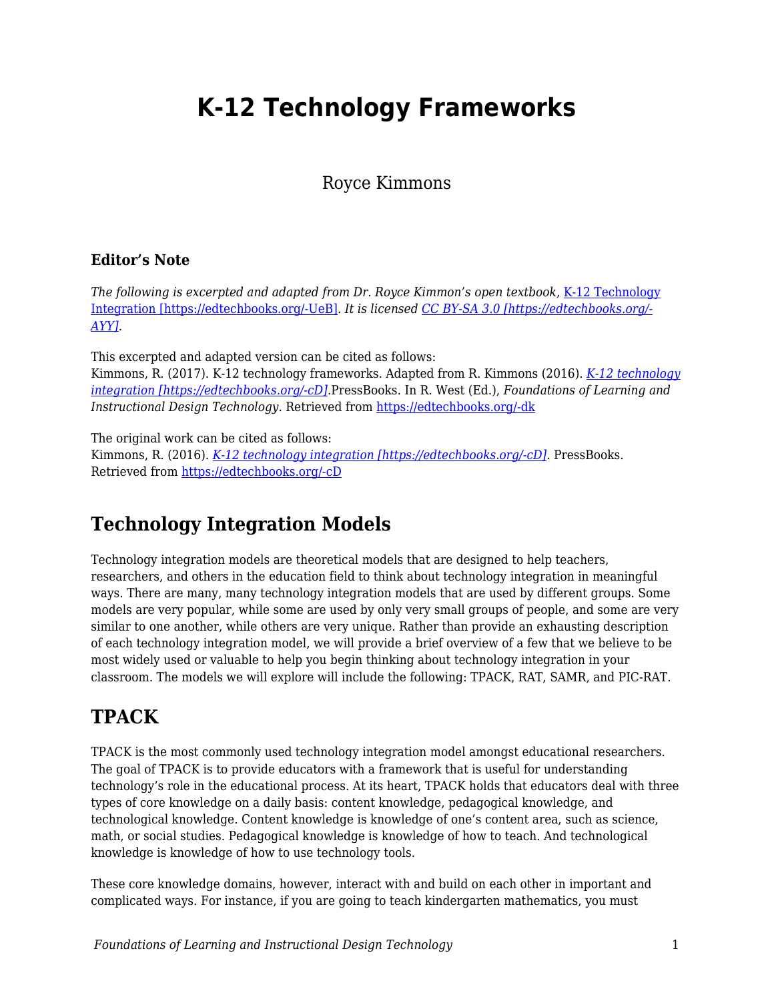## **K-12 Technology Frameworks**

#### Royce Kimmons

#### **Editor's Note**

*The following is excerpted and adapted from Dr. Royce Kimmon's open textbook,* [K-12 Technology](https://k12techintegration.pressbooks.com/chapter/effective-technology-integration/) [Integration \[https://edtechbooks.org/-UeB\]](https://k12techintegration.pressbooks.com/chapter/effective-technology-integration/)*. It is licensed [CC BY-SA 3.0 \[https://edtechbooks.org/-](https://creativecommons.org/licenses/by-sa/3.0/) [AYY\].](https://creativecommons.org/licenses/by-sa/3.0/)*

This excerpted and adapted version can be cited as follows:

Kimmons, R. (2017). K-12 technology frameworks. Adapted from R. Kimmons (2016). *[K-12 technology](https://k12techintegration.pressbooks.com/) [integration \[https://edtechbooks.org/-cD\]](https://k12techintegration.pressbooks.com/).*PressBooks. In R. West (Ed.), *Foundations of Learning and Instructional Design Technology*. Retrieved from [https://edtechbooks.org/-dk](https://lidtfoundations.pressbooks.com/chapter/k-12-technology-frameworks/)

The original work can be cited as follows:

Kimmons, R. (2016). *[K-12 technology integration \[https://edtechbooks.org/-cD\].](https://k12techintegration.pressbooks.com/)* PressBooks. Retrieved from [https://edtechbooks.org/-cD](https://k12techintegration.pressbooks.com/)

#### **Technology Integration Models**

Technology integration models are theoretical models that are designed to help teachers, researchers, and others in the education field to think about technology integration in meaningful ways. There are many, many technology integration models that are used by different groups. Some models are very popular, while some are used by only very small groups of people, and some are very similar to one another, while others are very unique. Rather than provide an exhausting description of each technology integration model, we will provide a brief overview of a few that we believe to be most widely used or valuable to help you begin thinking about technology integration in your classroom. The models we will explore will include the following: TPACK, RAT, SAMR, and PIC-RAT.

## **TPACK**

TPACK is the most commonly used technology integration model amongst educational researchers. The goal of TPACK is to provide educators with a framework that is useful for understanding technology's role in the educational process. At its heart, TPACK holds that educators deal with three types of core knowledge on a daily basis: content knowledge, pedagogical knowledge, and technological knowledge. Content knowledge is knowledge of one's content area, such as science, math, or social studies. Pedagogical knowledge is knowledge of how to teach. And technological knowledge is knowledge of how to use technology tools.

These core knowledge domains, however, interact with and build on each other in important and complicated ways. For instance, if you are going to teach kindergarten mathematics, you must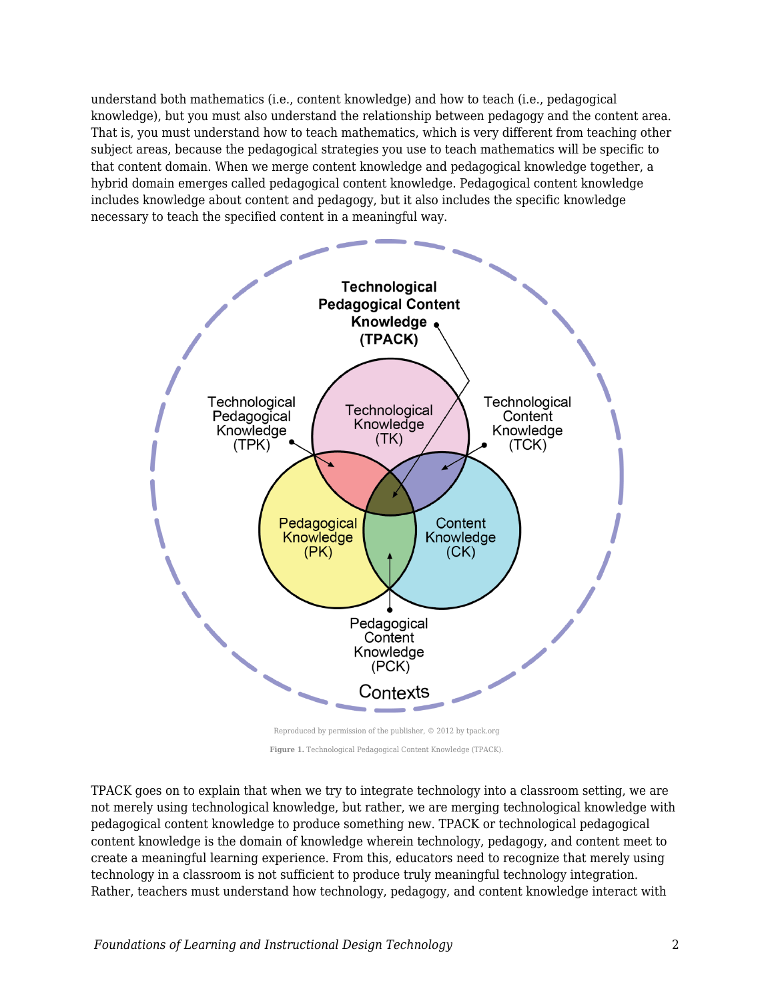understand both mathematics (i.e., content knowledge) and how to teach (i.e., pedagogical knowledge), but you must also understand the relationship between pedagogy and the content area. That is, you must understand how to teach mathematics, which is very different from teaching other subject areas, because the pedagogical strategies you use to teach mathematics will be specific to that content domain. When we merge content knowledge and pedagogical knowledge together, a hybrid domain emerges called pedagogical content knowledge. Pedagogical content knowledge includes knowledge about content and pedagogy, but it also includes the specific knowledge necessary to teach the specified content in a meaningful way.



Reproduced by permission of the publisher, © 2012 by tpack.org **Figure 1.** Technological Pedagogical Content Knowledge (TPACK).

TPACK goes on to explain that when we try to integrate technology into a classroom setting, we are not merely using technological knowledge, but rather, we are merging technological knowledge with pedagogical content knowledge to produce something new. TPACK or technological pedagogical content knowledge is the domain of knowledge wherein technology, pedagogy, and content meet to create a meaningful learning experience. From this, educators need to recognize that merely using technology in a classroom is not sufficient to produce truly meaningful technology integration. Rather, teachers must understand how technology, pedagogy, and content knowledge interact with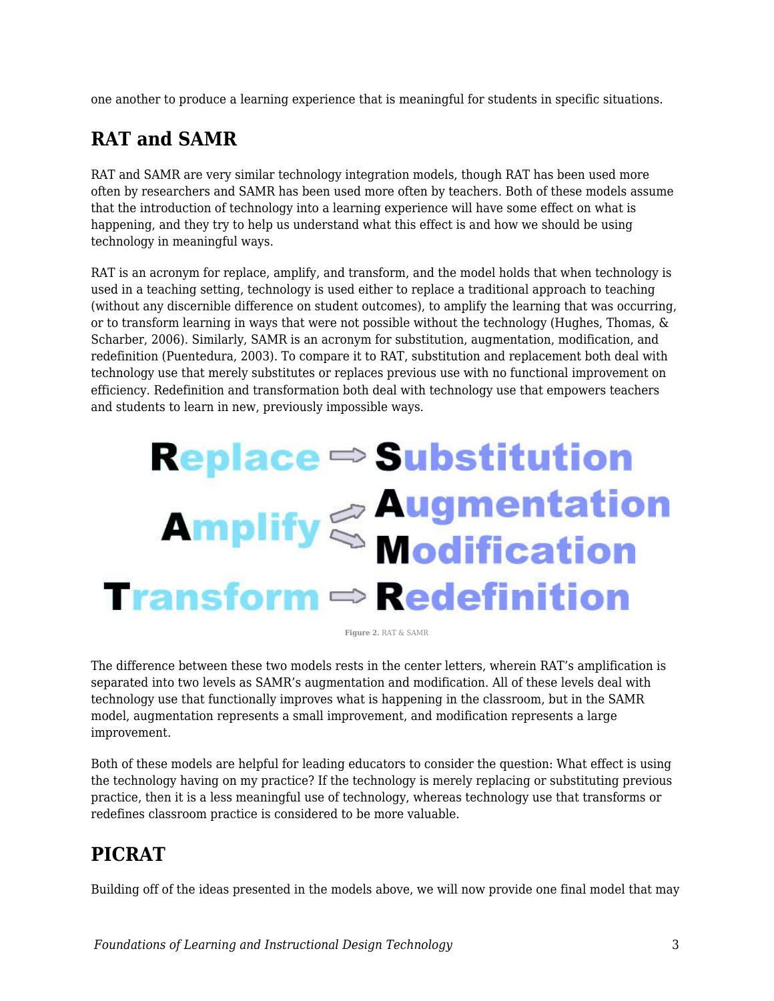one another to produce a learning experience that is meaningful for students in specific situations.

#### **RAT and SAMR**

RAT and SAMR are very similar technology integration models, though RAT has been used more often by researchers and SAMR has been used more often by teachers. Both of these models assume that the introduction of technology into a learning experience will have some effect on what is happening, and they try to help us understand what this effect is and how we should be using technology in meaningful ways.

RAT is an acronym for replace, amplify, and transform, and the model holds that when technology is used in a teaching setting, technology is used either to replace a traditional approach to teaching (without any discernible difference on student outcomes), to amplify the learning that was occurring, or to transform learning in ways that were not possible without the technology (Hughes, Thomas, & Scharber, 2006). Similarly, SAMR is an acronym for substitution, augmentation, modification, and redefinition (Puentedura, 2003). To compare it to RAT, substitution and replacement both deal with technology use that merely substitutes or replaces previous use with no functional improvement on efficiency. Redefinition and transformation both deal with technology use that empowers teachers and students to learn in new, previously impossible ways.

# **Replace ⇒ Substitution Amplify & Augmentation**<br>**Modification**  $$

**Figure 2.** RAT & SAMR

The difference between these two models rests in the center letters, wherein RAT's amplification is separated into two levels as SAMR's augmentation and modification. All of these levels deal with technology use that functionally improves what is happening in the classroom, but in the SAMR model, augmentation represents a small improvement, and modification represents a large improvement.

Both of these models are helpful for leading educators to consider the question: What effect is using the technology having on my practice? If the technology is merely replacing or substituting previous practice, then it is a less meaningful use of technology, whereas technology use that transforms or redefines classroom practice is considered to be more valuable.

## **PICRAT**

Building off of the ideas presented in the models above, we will now provide one final model that may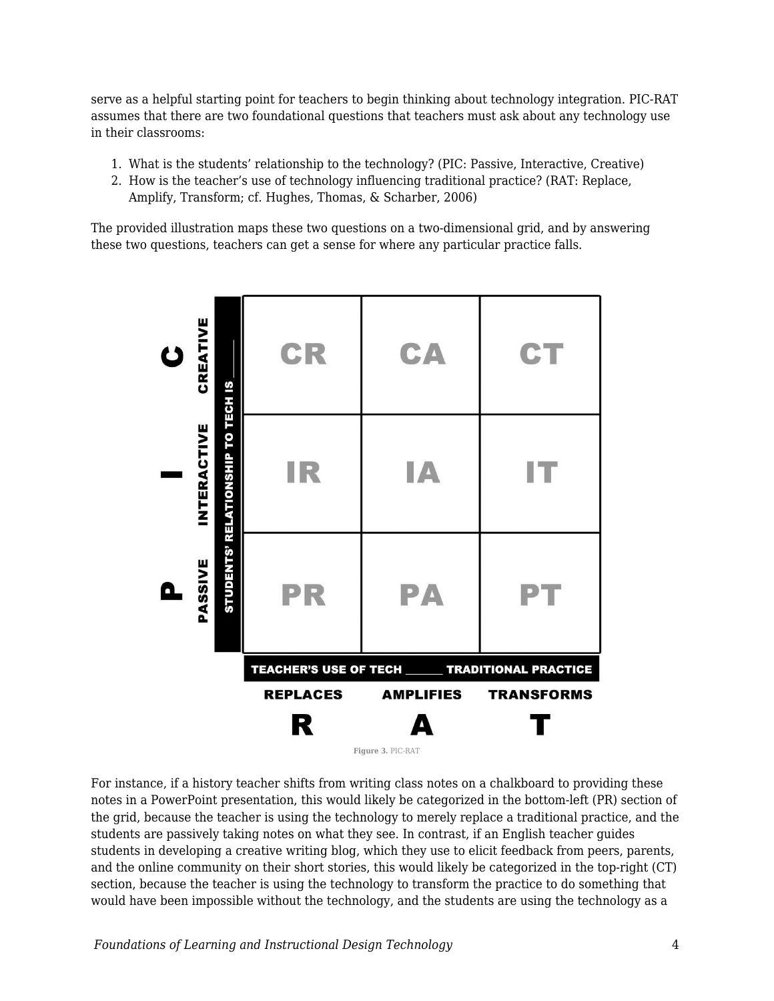serve as a helpful starting point for teachers to begin thinking about technology integration. PIC-RAT assumes that there are two foundational questions that teachers must ask about any technology use in their classrooms:

- 1. What is the students' relationship to the technology? (PIC: Passive, Interactive, Creative)
- 2. How is the teacher's use of technology influencing traditional practice? (RAT: Replace, Amplify, Transform; cf. Hughes, Thomas, & Scharber, 2006)

The provided illustration maps these two questions on a two-dimensional grid, and by answering these two questions, teachers can get a sense for where any particular practice falls.



For instance, if a history teacher shifts from writing class notes on a chalkboard to providing these notes in a PowerPoint presentation, this would likely be categorized in the bottom-left (PR) section of the grid, because the teacher is using the technology to merely replace a traditional practice, and the students are passively taking notes on what they see. In contrast, if an English teacher guides students in developing a creative writing blog, which they use to elicit feedback from peers, parents, and the online community on their short stories, this would likely be categorized in the top-right (CT) section, because the teacher is using the technology to transform the practice to do something that would have been impossible without the technology, and the students are using the technology as a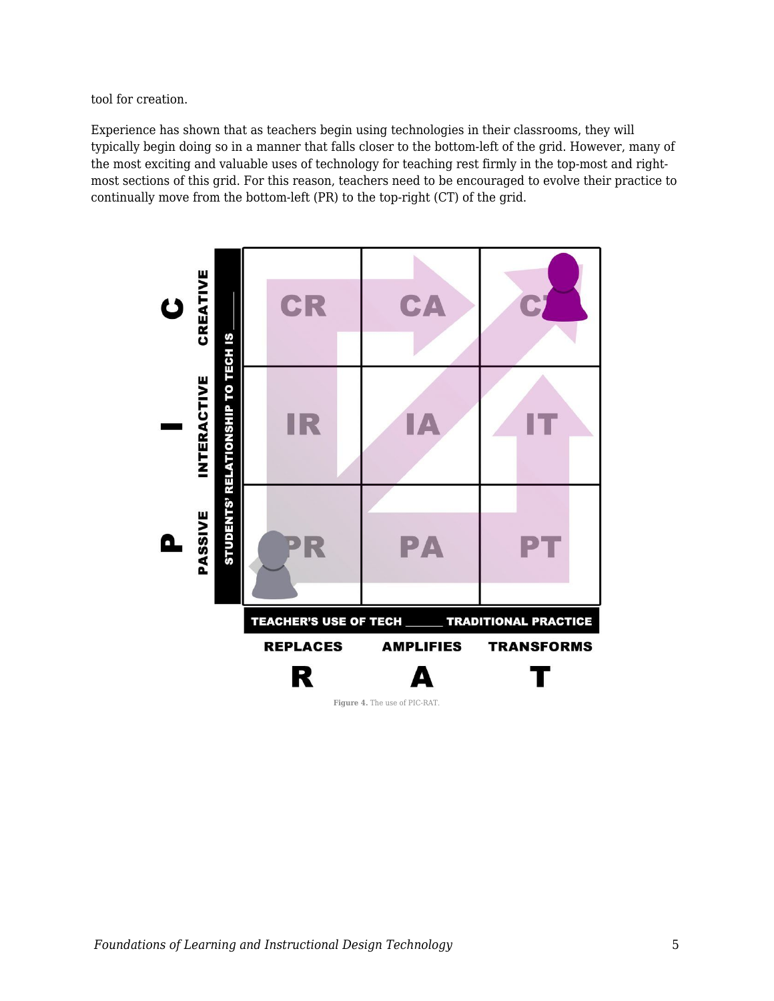tool for creation.

Experience has shown that as teachers begin using technologies in their classrooms, they will typically begin doing so in a manner that falls closer to the bottom-left of the grid. However, many of the most exciting and valuable uses of technology for teaching rest firmly in the top-most and rightmost sections of this grid. For this reason, teachers need to be encouraged to evolve their practice to continually move from the bottom-left (PR) to the top-right (CT) of the grid.

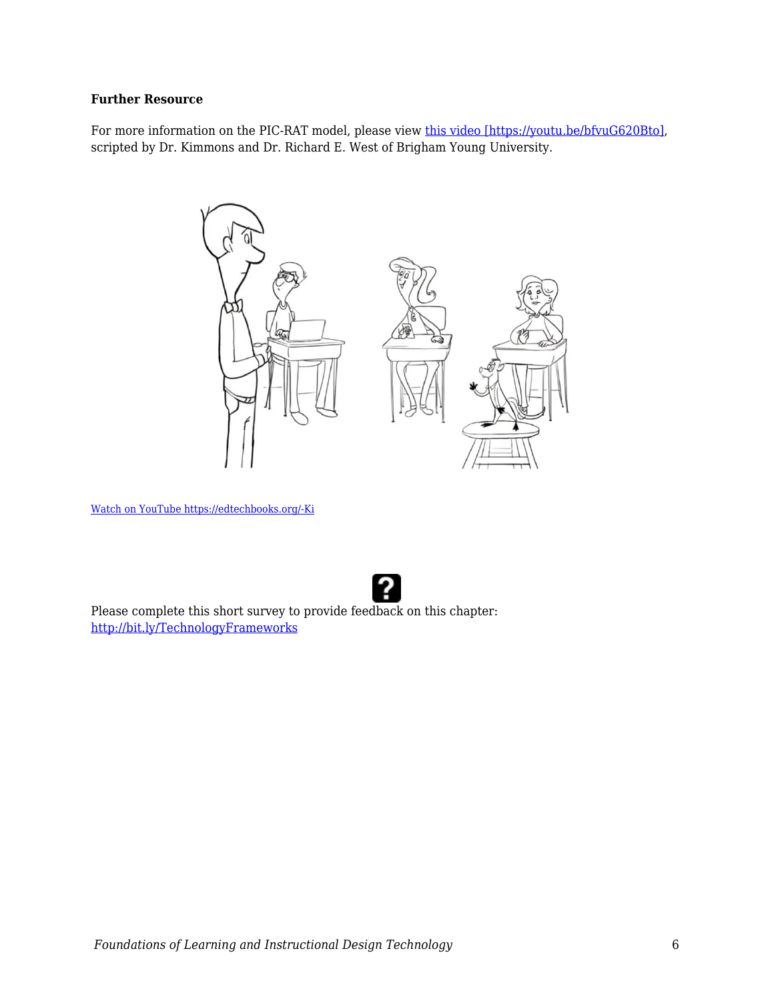#### **Further Resource**

For more information on the PIC-RAT model, please view [this video \[https://youtu.be/bfvuG620Bto\],](https://youtu.be/bfvuG620Bto) scripted by Dr. Kimmons and Dr. Richard E. West of Brigham Young University.



[Watch on YouTube https://edtechbooks.org/-Ki](https://www.youtube.com/embed/bfvuG620Bto?autoplay=1&rel=0&showinfo=0&modestbranding=1)



Please complete this short survey to provide feedback on this chapter: <http://bit.ly/TechnologyFrameworks>